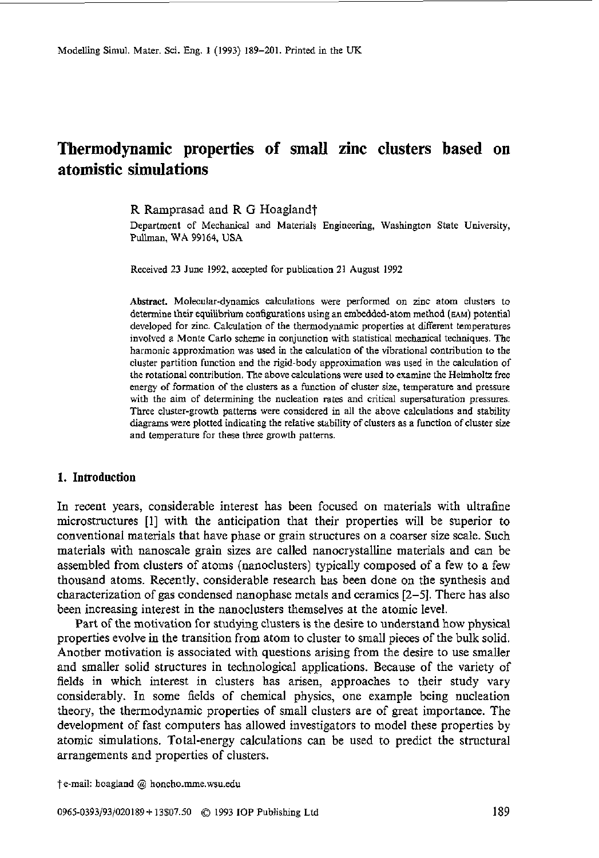Modelling Simul. Mater. Sci. **Eng. 1** (1993) 189-201. Printed in the **UK** 

# **Thermodynamic properties of small zinc clusters based on atomistic simulations**

R Ramprasad and R *G* Hoaglandt

Department of Mechanical and Materials Engineering, Washington State University, **Pullman. WA** 99164, **USA** 

Received 23 June 1992, accepted for publication **21** August 1992

**Abstract.** Molecular-dynamics calculations were performed on zinc atom **clusters to**  determine their equilibrium configurations using an embedded-atom method **(EAM)** potential developed for zinc. Calculation of the thermodynamic properties at different temperatures involved a Monte Carlo scheme in conjunction with statistical mechanical techniques. The harmonic approximation was used in the calculation of the vibrational contribution to the cluster partition function and the rigid-body approximation was used in the calculation of the rotational contribution. me above calculations were used to examine the Helmholtz free energy of formation of the clusters **as** a function of cluster **size,** temperature and pressure with the aim of determining the nucleation rates and critical supersaturation pressures. Three cluster-growth patterns were considered in all *the* above calculations and stability **diagrams were** plotted indicating the relative siability of clusters as *a* function of cluster *size*  and temperature for these three growth patterns.

## **1. Introduction**

In recent years, considerable interest has been focused on materials with ultrafine microstructures [I] with the anticipation that their properties will be superior to conventional materials that have phase or grain structures on a coarser size scale. Such materials with nanoscale grain sizes are called nanocrystalline materials and can be assembled from clusters of atoms (nanoclusters) typically composed of a few to a few thousand atoms. Recently. considerable research has been done on the synthesis and characterization of gas condensed nanophase metals and ceramics **[Z-51.** There has also been increasing interest in the nanoclusters themselves at the atomic level.

Part of the motivation for studying clusters is the desire to understand how physical properties evolve in the transition from atom to cluster to small pieces of the bulk solid. Another motivation is associated with questions arising from the desire to use smaller and smaller solid structures in technological applications. Because of the variety of fields in which interest in clusters has arisen, approaches to their study vary considerably. In some fields of chemical physics, one example being nucleation theory, the thermodynamic properties of small clusters are of great importance. The development of fast computers has allowed investigators to model these properties by atomic simulations. Total-energy calculations can be used to predict the structural arrangements and properties of clusters.

<sup>?</sup>e-mail: hoagland @ honcho.mme.wsu.edu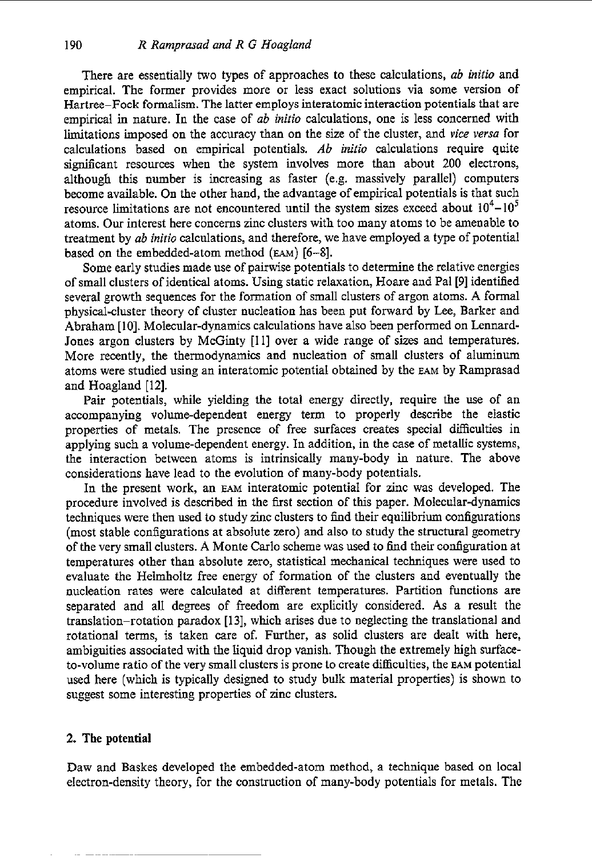There are essentially two types of approaches to these calculations, *ab inifio* and empirical. The former provides more or less exact solutions via some version of Hartree-Fock formalism. The latter employs interatomic interaction potentials that are empirical in nature. In the case of *ab initio* calculations, one is less concerned with limitations imposed on the accuracy than on the size of the cluster, and *vice versa* for calculations based on empirical potentials. *Ab initio* calculations require quite signifcant resources when the system involves more than about *200* electrons, although this number is increasing as faster (e.g. massively parallel) computers become available. On the other hand, the advantage of empirical potentials is that such resource limitations are not encountered until the system sizes exceed about  $10^4 - 10^5$ atoms. Our interest here concerns zinc clusters with too many atoms to be amenable to treatment by *ab initio* calculations, and therefore, we have employed a type of potential based on the embedded-atom method **(EAM) [6-81.** 

Some early studies made use of pairwise potentials to determine the relative energies of small clusters of identical atoms. **Using** static relaxation, Hoare and Pal [9] identified several growth sequences for the formation of small clusters of argon atoms. **A** formal physical-cluster theory of cluster nucleation has been put forward by Lee, Barker and Abraham [lo]. Molecular-dynamics calculations have also been performed on Lennard-Jones argon clusters by McGinty [11] over a wide range of sizes and temperatures. More recently, the thermodynamics and nucleation of small clusters of aluminum atoms were studied using an interatomic potential obtained by the **EAM** by Ramprasad and Hoagland [12].

Pair potentials, while yielding the total energy directly, require the use of an accompanying volume-dependent energy term to properly describe the elastic properties of metals. The presence of free surfaces creates special difficulties in applying such a volume-dependent energy. In addition, in the case of metallic systems, the interaction between atoms is intrinsically many-body in nature. The above considerations have lead to the evolution of many-body potentials.

In the present work, an **EAM** interatomic potential for zinc was developed. The procedure involved is described in the first section of this paper. Molecular-dynamics techniques were then used to study zinc clusters to find their equilibrium configurations (most stable configurations at absolute zero) and also to study the structural geometry of the very small clusters. **A** Monte Carlo scheme was used to find their configuration at temperatures other than absolute zero, statistical mechanical techniques were used to evaluate the Helmholtz free energy of formation of the clusters and eventually the nucleation rates were calculated at different temperatures. Partition functions are separated and all degrees of freedom are explicitly considered. **As** a result the translation-rotation paradox **[13],** which arises due to neglecting the translational and rotational terms, is taken care of. Further, as solid clusters are dealt with here, ambiguities associated with the liquid drop vanish. Though the extremely high surfaceto-volume ratio of the very small clusters is prone to create difficulties, the **EAM** potential used here (which is typically designed to study bulk material properties) is shown to suggest some interesting properties of zinc clusters.

# *2.* The **potential**

Daw and Baskes developed the embedded-atom method, a technique based on local electron-density theory, for the construction of many-body potentials for metals. The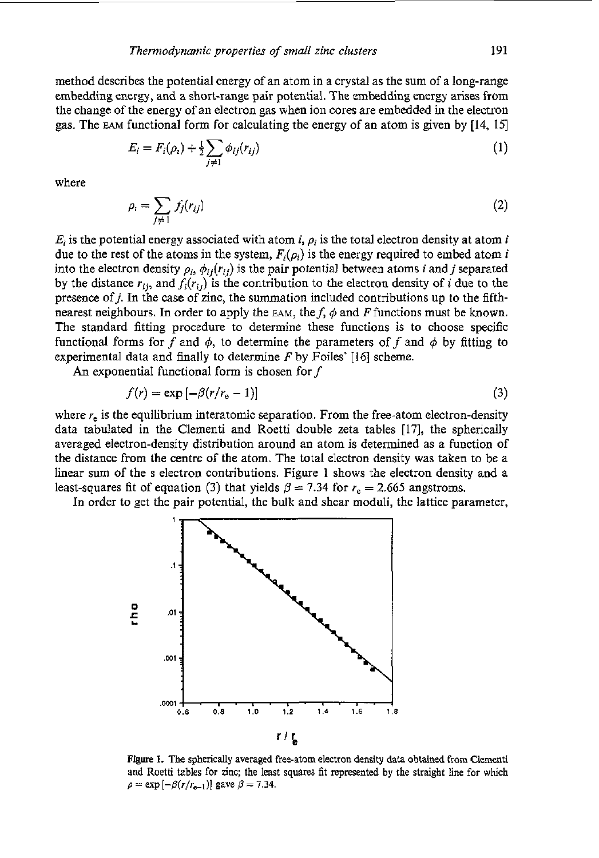method describes the potential energy of an atom in a crystal as the sum of a long-range embedding energy, and a short-range pair potential. The embedding energy arises from the change of the energy of an electron gas when ion cores are embedded in the electron gas. The **EAM** functional form for calculating the energy of an atom is given by [14, 151

$$
E_i = F_i(\rho_i) + \frac{1}{2} \sum_{j \neq 1} \phi_{ij}(r_{ij})
$$
 (1)

where

$$
\rho_i = \sum_{j \neq 1} f_j(r_{ij}) \tag{2}
$$

 $E_i$  is the potential energy associated with atom *i*,  $\rho_i$  is the total electron density at atom *i* due to the rest of the atoms in the system,  $F_i(\rho_i)$  is the energy required to embed atom i into the electron density  $\rho_i$ ,  $\phi_{ij}(r_{ij})$  is the pair potential between atoms *i* and *j* separated by the distance  $r_{ij}$ , and  $f_i(r_{ij})$  is the contribution to the electron density of *i* due to the presence ofj. In the case of zinc, the summation included contributions up *to* the fifthnearest neighbours. In order to apply the  $EAM$ , the f,  $\phi$  and F functions must be known. The standard fitting procedure to determine these functions is to choose specific functional forms for f and  $\phi$ , to determine the parameters of f and  $\phi$  by fitting to experimental data and finally to determine *F* by Foiles' [I61 scheme.

An exponential functional form is chosen for  $f$ 

$$
f(r) = \exp\left[-\beta(r/r_{\rm e} - 1)\right] \tag{3}
$$

where  $r_e$  is the equilibrium interatomic separation. From the free-atom electron-density data tabulated in the Clementi and Roetti double zeta tables [17], the spherically averaged electron-density distribution around an atom is determined as a function of the distance from the centre of the atom. The total electron density was taken to be a linear sum of the s electron contributions. Figure 1 shows the electron density and a least-squares fit of equation (3) that yields  $\beta = 7.34$  for  $r_e = 2.665$  angstroms.

In order to get the pair potential, the bulk and shear moduli, the lattice parameter,



**Figure 1.** The **spherically** averaged free-atom electron density data **obtained** lrom Clementi and Roetti tables for zinc; the least squares fit represented by the straight **line** for which  $\rho = \exp[-\beta(r/r_{e-1})]$  gave  $\beta = 7.34$ .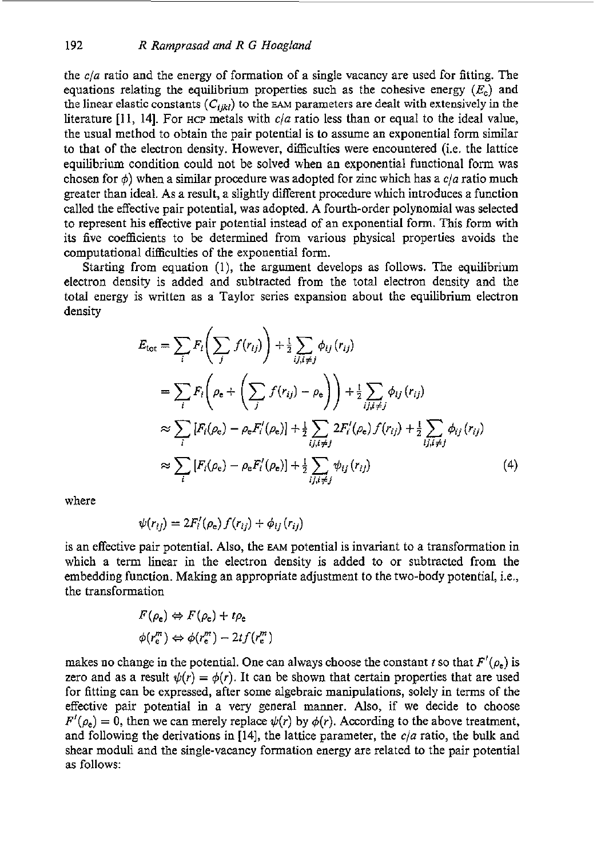the *cia* ratio and the energy of formation of a single vacancy are used for fitting. The equations relating the equilibrium properties such as the cohesive energy  $(E<sub>c</sub>)$  and the linear elastic constants  $(C_{ijkl})$  to the EAM parameters are dealt with extensively in the literature [I 1, 141. For **HCP** metals with *c/a* ratio less than or equal to the ideal value, the usual method to obtain the pair potential is to assume an exponential form similar to that of the electron density. However, difficulties were encountered (i.e. the lattice equilibrium condition could not be solved when an exponential functional form was chosen for  $\phi$ ) when a similar procedure was adopted for zinc which has a  $c/a$  ratio much greater than ideal. As a result, a slightly different procedure which introduces a function called the effective pair potential, was adopted. A fourth-order polynomial was selected to represent his effective pair potential instead of an exponential form. This form with its five coefficients to be determined from various physical properties avoids the computational difficulties of the exponential form.

Starting from equation (l), the argument develops as follows. The equilibrium electron density is added and subtracted from the total electron density and the total energy is written as a Taylor series expansion about the equilibrium electron density

$$
E_{\text{tot}} = \sum_{i} F_{i} \left( \sum_{j} f(r_{ij}) \right) + \frac{1}{2} \sum_{i,j,i \neq j} \phi_{ij} (r_{ij})
$$
  
\n
$$
= \sum_{i} F_{i} \left( \rho_{e} + \left( \sum_{j} f(r_{ij}) - \rho_{e} \right) \right) + \frac{1}{2} \sum_{i,j,i \neq j} \phi_{ij} (r_{ij})
$$
  
\n
$$
\approx \sum_{i} [F_{i}(\rho_{e}) - \rho_{e} F'_{i}(\rho_{e})] + \frac{1}{2} \sum_{i,j,i \neq j} 2F'_{i}(\rho_{e}) f(r_{ij}) + \frac{1}{2} \sum_{i,j,i \neq j} \phi_{ij} (r_{ij})
$$
  
\n
$$
\approx \sum_{i} [F_{i}(\rho_{e}) - \rho_{e} F'_{i}(\rho_{e})] + \frac{1}{2} \sum_{i,j,i \neq j} \psi_{ij} (r_{ij})
$$
(4)

where

$$
\psi(r_{ij}) = 2F'_i(\rho_e) f(r_{ij}) + \phi_{ij}(r_{ij})
$$

is an effective pair potential. Also, the **EAM** potential is invariant to a transformation in which a term linear in the electron density is added to or subtracted from the embedding function. Making an appropriate adjustment to the two-body potential, i.e., the transformation

$$
F(\rho_e) \Leftrightarrow F(\rho_e) + t\rho_e
$$
  

$$
\phi(r_e^m) \Leftrightarrow \phi(r_e^m) - 2tf(r_e^m)
$$

makes no change in the potential. One can always choose the constant *t* so that  $F'(\rho_e)$  is zero and as a result  $\psi(r) = \phi(r)$ . It can be shown that certain properties that are used for fitting can be expressed, after some algebraic manipulations, solely in terms of the effective pair potential in a very general manner. Also, if we decide to choose  $F'(\rho_e) = 0$ , then we can merely replace  $\psi(r)$  by  $\phi(r)$ . According to the above treatment, and following the derivations in **[14],** the lattice parameter, the *cia* ratio, the bulk and shear moduli and the single-vacancy formation energy are related to the pair potential as follows: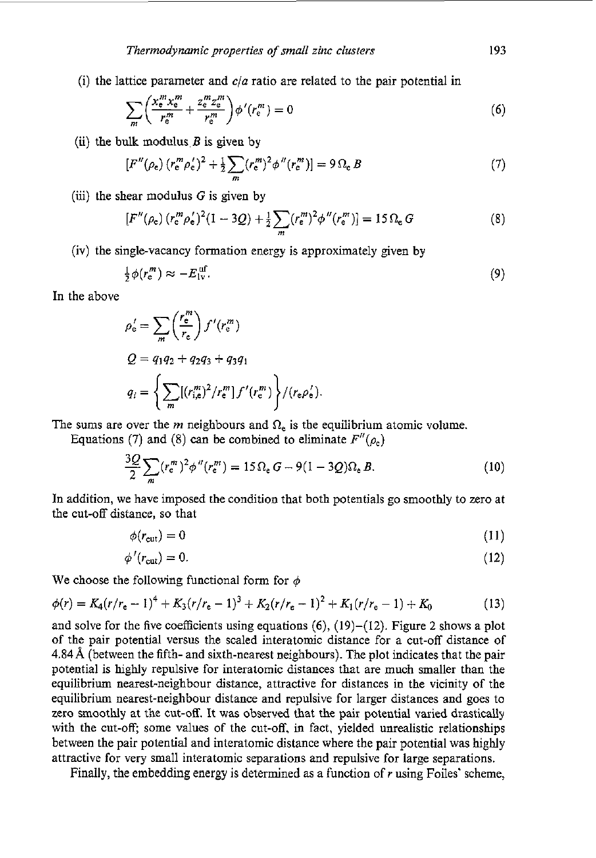(i) the lattice parameter and *cia* ratio are related to the pair potential in

$$
\sum_{m} \left( \frac{x_{e}^{m} x_{e}^{m}}{r_{e}^{m}} + \frac{z_{e}^{m} z_{e}^{m}}{r_{e}^{m}} \right) \phi'(r_{e}^{m}) = 0 \tag{6}
$$

(ii) the bulk modulus  $B$  is given by

$$
[F''(\rho_e) (r_e^m \rho_e')^2 + \frac{1}{2} \sum_m (r_e^m)^2 \phi''(r_e^m)] = 9 \Omega_e B \tag{7}
$$

(iii) the shear modulus  $G$  is given by

$$
[F''(\rho_e) (r_e^m \rho_e')^2 (1 - 3Q) + \frac{1}{2} \sum_m (r_e^m)^2 \phi''(r_e^m)] = 15 \Omega_e G
$$
 (8)

(iv) the single-vacancy formation energy is approximately given by

$$
\frac{1}{2}\phi(r_{\rm e}^m) \approx -E_{\rm IV}^{\rm uf}.\tag{9}
$$

In the above

$$
\rho_{\rm e}' = \sum_{m} \left(\frac{r_{\rm e}^{m}}{r_{\rm e}}\right) f'(r_{\rm e}^{m})
$$
  
\n
$$
Q = q_1 q_2 + q_2 q_3 + q_3 q_1
$$
  
\n
$$
q_i = \left\{ \sum_{m} [(r_{i,e}^{m})^2 / r_{\rm e}^{m}] f'(r_{\rm e}^{m}) \right\} / (r_{\rm e} \rho_{\rm e}').
$$

The sums are over the *m* neighbours and  $\Omega_e$  is the equilibrium atomic volume.

Equations (7) and (8) can be combined to eliminate  $F''(\rho_e)$ 

$$
\frac{3Q}{2} \sum_{m} (r_e^m)^2 \phi''(r_e^m) = 15 \Omega_e G - 9(1 - 3Q)\Omega_e B. \tag{10}
$$

In addition, we have imposed the condition that both potentials go smoothly to zero at the cut-off distance, so that

$$
\phi(r_{\rm cut}) = 0 \tag{11}
$$

$$
\phi'(r_{\rm cut}) = 0. \tag{12}
$$

We choose the following functional form for  $\phi$ 

$$
\phi(r) = K_4(r/r_e - 1)^4 + K_3(r/r_e - 1)^3 + K_2(r/r_e - 1)^2 + K_1(r/r_e - 1) + K_0
$$
\n(13)

and solve for the five coefficients using equations **(6),** (19)-(12). Figure **2** shows a plot of the pair potential versus the scaled interatomic distance for a cut-off distance of 4.84 *8,* (between the fifth- and sixth-nearest neighbours). The plot indicates that the pair potential is highly repulsive for interatomic distances that are much smaller than the equilibrium nearest-neighbour distance, attractive for distances in the vicinity of the equilibrium nearest-neighbour distance and repulsive for larger distances and goes to zero smoothly at the cut-off. It was observed that the pair potential varied drastically with the cut-off; some values of the cut-off. in fact. yielded unrealistic relationships between the pair potential and interatomic distance where the pair potential was highly attractive for very small interatomic separations and repulsive for large separations.

Finally, the embedding energy **is** determined as a function of *r* using Foiles' scheme,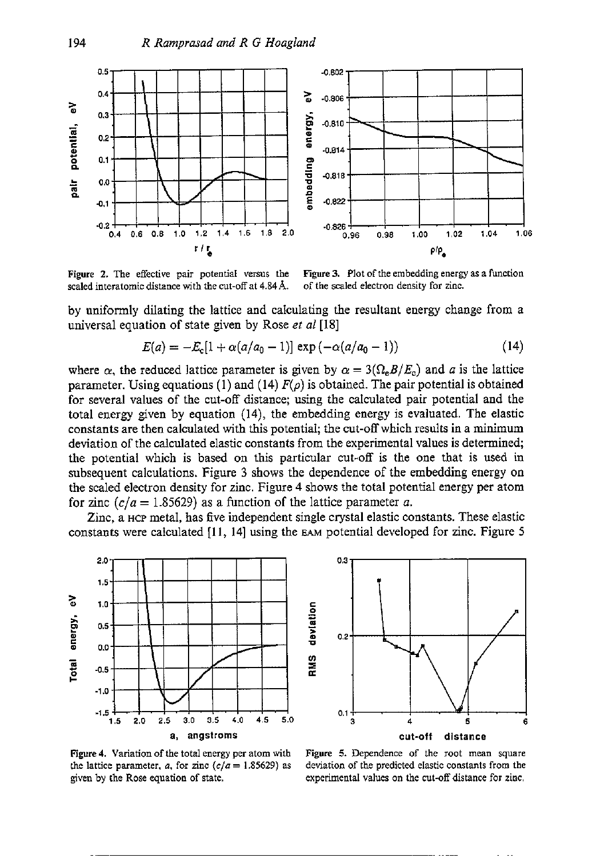

**Figure 2.** The effective pair potential versus the **Figure 3.** Plot of the embedding energy as a function scaled interatomic distance with the cut-off at 4.84 Å. of the scaled electron density for zinc. scaled interatomic distance with the cut-off at 4.84 Å.

by uniformly dilating the lattice and calculating the resultant energy change from a universal equation of state given by Rose *ef a1* [I81

$$
E(a) = -E_c[1 + \alpha(a/a_0 - 1)] \exp(-\alpha(a/a_0 - 1))
$$
 (14)

where  $\alpha$ , the reduced lattice parameter is given by  $\alpha = 3(\Omega_e B/E_c)$  and *a* is the lattice parameter. Using equations (1) and (14)  $F(\rho)$  is obtained. The pair potential is obtained for several values of the cut-off distance; using the calculated pair potential and the total energy given by equation **(14),** the embedding energy is evaluated. The elastic constants are then calculated with this potential; the cut-off which results in a minimum deviation of the calculated elastic constants from the experimental values is determined; the potential which is based on this particular cut-off is the one that is used in subsequent calculations. Figure **3** shows the dependence of the embedding energy on the scaled electron density for zinc. Figure **4** shows the total potential energy per atom for zinc  $(c/a = 1.85629)$  as a function of the lattice parameter *a*.

Zinc, a **HCP** metal, has five independent single crystal elastic constants. These elastic constants were calculated [II, **141** using the **EAM** potential developed for zinc. Figure 5





**Figure 4.** Variation of the total energy per atom with the lattice parameter, *a*, for zinc  $(c/a = 1.85629)$  as given by the Rose equation of state.

**Figure** *5.* Dependence of the root mean **square**  deviation of the predicted elastic constants from the experimental values on the cut-off distance for zinc.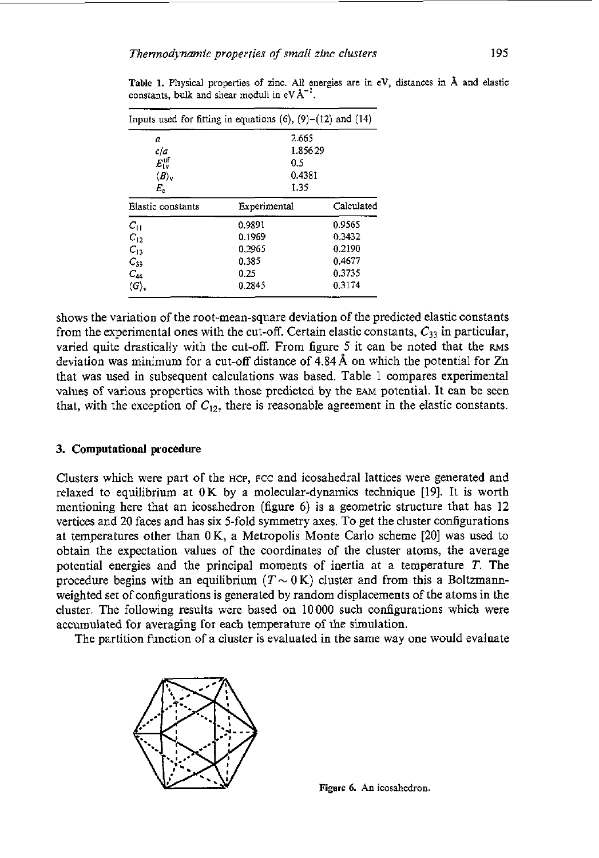|                                 | Inputs used for fitting in equations $(6)$ , $(9)-(12)$ and $(14)$ |            |
|---------------------------------|--------------------------------------------------------------------|------------|
| a                               | 2.665                                                              |            |
| cia                             | 1.85629                                                            |            |
| $E^{\mathrm{uf}}_{\mathrm{Iw}}$ | 0.5                                                                |            |
| $\langle B\rangle$ .            | 0.4381                                                             |            |
| $E_{\rm e}$                     | 1.35                                                               |            |
| Elastic constants               | Experimental                                                       | Calculated |
| $\boldsymbol{C_{11}}$           | 0.9891                                                             | 0.9565     |
| $C_{12}$                        | 0.1969                                                             | 0.3432     |
| $C_{13}$                        | 0.2965                                                             | 0.2190     |
| $C_{33}$                        | 0.385                                                              | 0.4677     |
| $C_{44}$                        | 0.25                                                               | 0.3735     |
| $\langle G \rangle$ ,           | 0.2845                                                             | 0.3174     |

**Table 1. Physical properties** of zinc. **All energies are** in **eV, distances** in A **and elastic**  constants. **bulk** and shear moduli in  $eV \nightharpoonup^{1}$ .

shows the variation of the root-mean-square deviation of the predicted elastic constants from the experimental ones with the cut-off. Certain elastic constants,  $C_{33}$  in particular, varied quite drastically with the cut-off. From figure **5** it can be noted that the **RMS**  deviation was minimum for a cut-off distance of **434A** on which the potential for Zn that was used in subsequent calculations was based. Table 1 compares experimental values of various properties with those predicted by the EAM potential. **It** can be seen that, with the exception of  $C_{12}$ , there is reasonable agreement in the elastic constants.

### **3. Computational procedure**

Clusters which were part of the **HCP, FCC** and icosahedral lattices were generated and relaxed to equilibrium at OK by a molecular-dynamics technique [19]. It is worth mentioning here that an icosahedron (figure *6)* is a geometric structure that has 12 vertices and 20 faces and has six 5-fold symmetry axes. To get the cluster configurations at temperatures other than 0 K, a Metropolis Monte Carlo scheme [20] was used to obtain the expectation values of the coordinates of the cluster atoms, the average potential energies and the principal moments of inertia at a temperature *T.* The procedure begins with an equilibrium  $(T \sim 0 \text{ K})$  cluster and from this a Boltzmannweighted set of configurations is generated by random displacements of the atoms in the cluster. The following results were based on  $10000$  such configurations which were accumulated for averaging for each temperature of the simulation.

The partition function of a cluster **is** evaluated in the same way one would evaluate



**Figure 6.** An icosahedron.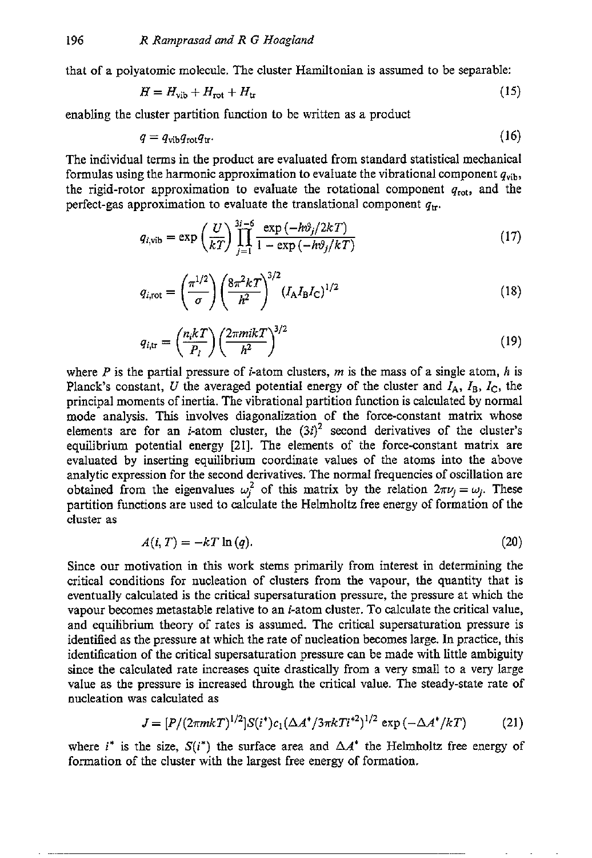that of a polyatomic molecule. The cluster Hamiltonian is assumed to be separable:

$$
H = H_{\rm vib} + H_{\rm rot} + H_{\rm tr}
$$
\n(15)

enabling the cluster partition function to be written as a product

$$
q = q_{\rm vib}q_{\rm rot}q_{\rm tr}.\tag{16}
$$

The individual terms in the product are evaluated from standard statistical mechanical formulas using the harmonic approximation to evaluate the vibrational component  $q_{\text{vib}}$ , the rigid-rotor approximation to evaluate the rotational component *qrot,* and the perfect-gas approximation to evaluate the translational component  $q_{tr}$ .

$$
q_{i,\text{vib}} = \exp\left(\frac{U}{kT}\right) \prod_{j=1}^{3i-6} \frac{\exp(-h\vartheta_j/2kT)}{1 - \exp(-h\vartheta_j/kT)}\tag{17}
$$

$$
q_{i,\text{rot}} = \left(\frac{\pi^{1/2}}{\sigma}\right) \left(\frac{8\pi^2 k T}{h^2}\right)^{3/2} \left(I_A I_B I_C\right)^{1/2} \tag{18}
$$

$$
q_{i,\text{tr}} = \left(\frac{n_i kT}{P_i}\right) \left(\frac{2\pi m i kT}{h^2}\right)^{3/2} \tag{19}
$$

where *P* is the partial pressure of *i*-atom clusters, *m* is the mass of a single atom, *h* is Planck's constant, *U* the averaged potential energy of the cluster and  $I_A$ ,  $I_B$ ,  $I_C$ , the principal moments of inertia. The vibrational partition function is calculated by normal mode analysis. This involves diagonalization **of** the force-constant matrix whose elements are for an *i*-atom cluster, the  $(3i)^2$  second derivatives of the cluster's equilibrium potential energy [21]. The elements of the force-constant matrix are evaluated by inserting equilibrium coordinate values of the atoms into the above analytic expression for the second derivatives. The normal frequencies of oscillation are obtained from the eigenvalues  $\omega_j^2$  of this matrix by the relation  $2\pi\nu_i = \omega_i$ . These partition functions are used to calculate the Helmholtz free energy of formation of the cluster as

$$
A(i, T) = -kT \ln(q). \tag{20}
$$

Since our motivation in this work stems primarily from interest in determining the critical conditions for nucleation of clusters from the vapour, the quantity that is eventually calculated is the critical supersaturation pressure, the pressure at which the vapour becomes metastable relative to an i-atom cluster. To calculate the critical value, and equilibrium theory of rates is assumed. The critical supersaturation pressure is identified as the pressure at which the rate of nucleation becomes large. In practice, this identification of the critical supersaturation pressure can be made with little ambiguity since the calculated rate increases quite drastically from a very small to a very large value as the pressure is increased through the critical value. The steady-state rate of nucleation was calculated as

$$
J = [P/(2\pi mkT)^{1/2}]S(i^*)c_1(\Delta A^*/3\pi kTi^{*2})^{1/2} \exp(-\Delta A^*/kT)
$$
 (21)

where *i*<sup>\*</sup> is the size,  $S(i^*)$  the surface area and  $\Delta A^*$  the Helmholtz free energy of formation of the cluster with the largest free energy of formation.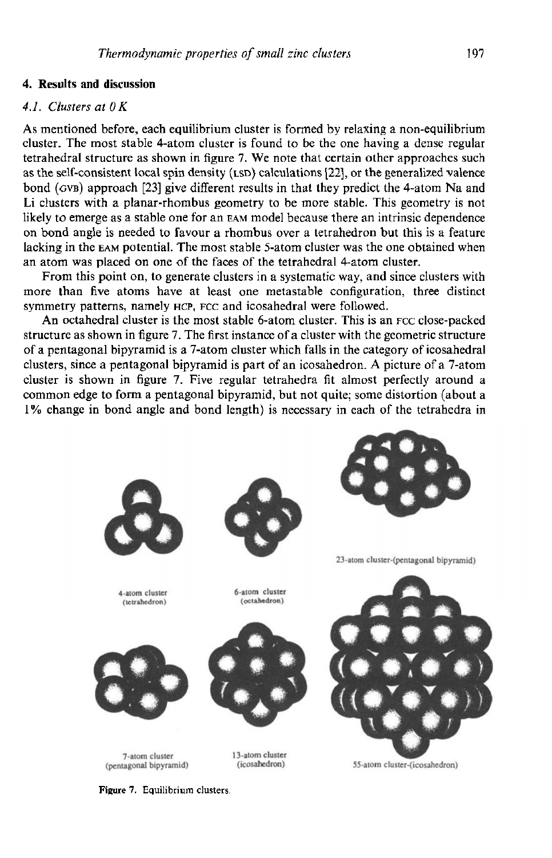# **4. Results and discussion**

# *4.1. Clusters at OK*

**As** mentioned before, each equilibrium cluster is formed by relaxing a non-equilibrium cluster. The most stable 4-atom cluster is found to he the one having a dense regular tetrahedral structure **as** shown in figure 7. **We** note that certain other approaches such as the self-consistent local spin density (LSD) calculations **1221,** or the generalized valence bond (GVB) approach **[23]** give different **results** in that they predict the 4-atom Na and Li clusters with a planar-rhombus geometry to be more stable. This geometry is not likely to emerge as a stable one for **an EAM** model because there an intrinsic dependence on bond angle **is** needed to favour a rhombus over a tetrahedron but this is a feature lacking in the **EAM** potential. The most stable 5-atom cluster was the one obtained when an atom was placed on one of the faces of the tetrahedral 4-atom cluster.

From this point on, to generate clusters in a systematic way, and since clusters with more than five atoms have at least one metastable configuration, three distinct symmetry patterns, namely **HCP**, **FCC** and icosahedral were followed.

An octahedral cluster is the most stable 6-atom cluster. This is an FCC close-packed structure as shown in figure 7. The first instance of a cluster with the geometric structure of a pentagonal hipyramid **is** a 7-atom cluster which falls in the category of icosahedral clusters, since a pentagonal bipyramid is part of an icosahedron. **A** picture of a 7-atom cluster is shown in figure 7. Five regular tetrahedra fit almost perfectly around a common edge to form a pentagonal hipyramid, but not quite; some distortion (about a 1% change in bond angle and bond length) is necessary in each of the tetrahedra in



**Figure 7. Equilibrium clusters.**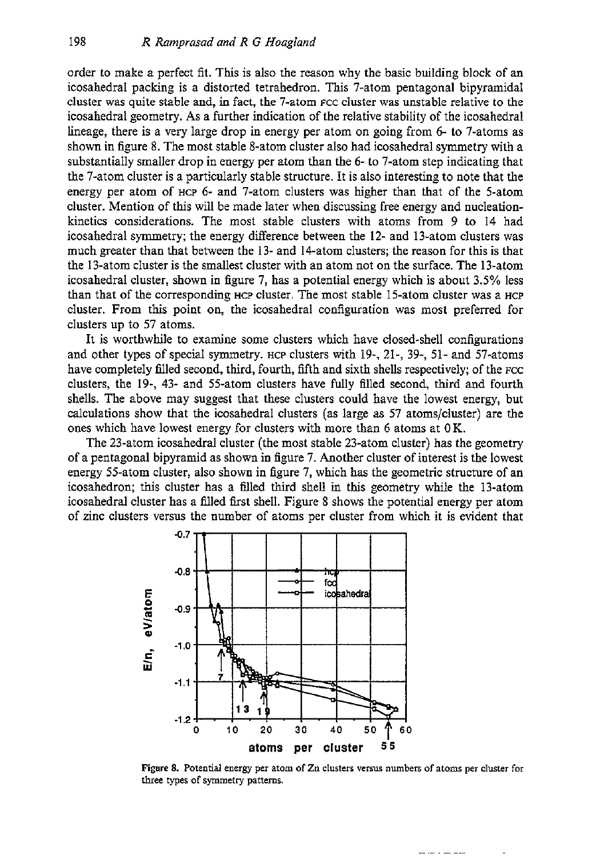order to make a perfect fit. This is also the reason why the basic building block of an icosahedral packing is a distorted tetrahedron. This 7-atom pentagonal bipyramidal cluster was quite stable and, in fact, the 7-atom FCC cluster was unstable relative to the icosahedral geometry. **As** a further indication of the relative stability of the icosahedral lineage, there is a very large drop in energy per atom on going from 6- to 7-atoms as shown in figure 8. The most stable 8-atom cluster also had icosahedral symmetry with a substantially smaller drop in energy per atom than the 6- to 7-atom step indicating that the 7-atom cluster is a particularly stable structure. It is also interesting to note that the energy per atom of **HCP** 6- and 7-atom clusters was higher than that of the 5-atom cluster. Mention of this will be made later when discussing free energy and nucleationkinetics considerations. The most stable clusters with atoms from 9 to 14 had icosahedral symmetry; the energy difference between the **12-** and 13-atom clusters was much greater than that between the 13- and 14-atom clusters; the reason for this is that the 13-atom cluster is the smallest cluster with an atom not on the surface. The 13-atom icosahedral cluster, shown in figure 7, has a potential energy which is about 3.5% less than that of the corresponding **HCP** cluster. The most stable 15-atom cluster was a **HCP**  cluster. From this point on, the icosahedral configuration was most preferred for clusters up to 57 atoms.

It is worthwhile to examine some clusters which have closed-shell configurations and other types of special symmetry. **HCP** clusters with 19-, 21-, 39-, 51- and 57-atoms have completely filled second, third, fourth, fifth and sixth shells respectively; of the FCC clusters, the 19-, 43- and 55-atom clusters have fully 6lled second, third and fourth shells. The above may suggest that these clusters could have the lowest energy, but calculations show that the icosahedral clusters (as large as 57 atoms/cluster) are the ones which have lowest energy for clusters with more than 6 atoms at OK.

The 23-atom icosahedral cluster (the most stable 23-atom cluster) has the geometry of a pentagonal bipyramid as shown in figure 7. Another cluster of interest is the lowest energy 55-atom cluster, also shown in figure 7, which has the geometric structure of an icosahedron; this cluster has a filled third shell in this geometry while the 13-atom icosahedral cluster has a filled first shell. Figure 8 shows the potential energy per atom of zinc clusters versus the number of atoms per cluster from which it is evident that



**Eyre 8.** Potential energy per atom of Zn **clusters versus** numben of **atoms** per **cluster** for **three** types of symmetry pattems.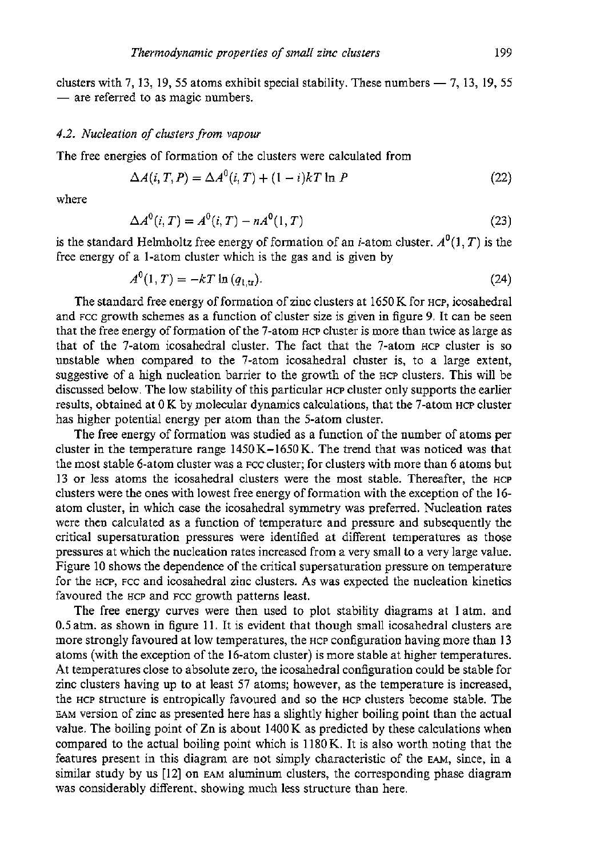Thermodynamic properties of small zinc clusters<br>clusters with 7, 13, 19, 55 atoms exhibit special stability. These numbers - 7, 13, 19, 55 clusters with 7, 13, 19, 55 atoms exhibi<br>— are referred to as magic numbers.

### *4.2.* Nucleation of clusters from vapour

The free energies of formation of the clusters were calculated from

$$
\Delta A(i, T, P) = \Delta A^{0}(i, T) + (1 - i)kT \ln P
$$
\n(22)

where

$$
\Delta A^{0}(i, T) = A^{0}(i, T) - nA^{0}(1, T)
$$
\n(23)

is the standard Helmholtz free energy of formation of an *i*-atom cluster.  $A^0(1, T)$  is the free energy of a 1-atom cluster which is the gas and is given by

$$
A^{0}(1, T) = -kT \ln (q_{1, \text{tr}}). \tag{24}
$$

The standard free energy of formation of zinc clusters at 1650 K for HCP, icosahedral and FCC growth schemes as a function of cluster size is given in figure 9. It can be seen that the free energy of formation of the 7-atom HCP cluster is more than twice as large as that of the 7-atom icosahedral cluster. The fact that the 7-atom HCP cluster is so unstable when compared to the 7-atom icosahedral cluster is, to a large extent, suggestive of a high nucleation barrier to the growth of the HCP clusters. This will be discussed below. The low stability of this particular HCP cluster only supports the earlier results, obtained at 0 K by molecular dynamics calculations, that the 7-atom **HCP** cluster has higher potential energy per atom than the 5-atom cluster.

The free energy of formation was studied as a function of the number of atoms per cluster in the temperature range  $1450K-1650K$ . The trend that was noticed was that the most stable 6-atom cluster was a FCC cluster; for clusters with more than 6 atoms but 13 or less atoms the icosahedral clusters were the most stable. Thereafter, the HCP clusters were the ones with lowest free energy of formation with the exception of the 16 atom cluster, in which case the icosahedral symmetry was preferred. Nucleation rates were then calculated as a function of temperature and pressure and subsequently the critical supersaturation pressures were identified at different temperatures as those pressures at which the nucleation rates increased from a very small to a very large value. Figure 10 shows the dependence of the critical supersaturation pressure on temperature for the HCP, FCC and icosahedral zinc clusters. **As** was expected the nucleation kinetics favoured the HCP and FCC growth patterns least.

The free energy curves were then used to plot stability diagrams at 1 atm. and 0.5 atm. as shown in figure 11. It is evident that though small icosahedral clusters are more strongly favoured at low temperatures, the HCP configuration having more than 13 atoms (with the exception of the 16-atom cluster) is more stable at higher temperatures. **A!** temperatures close to absolute zero, the icosahedral configuration could be stable for zinc clusters having up to at least 57 atoms; however, as the temperature is increased, the HCP structure is entropically favoured and so the HCP clusters become stable. The **EAM** version of zinc as presented here has a slightly higher boiling point than the actual value. The boiling point of Zn is about 1400K as predicted by these calculations when compared to the actual boiling point which is 1180K. It is also worth noting that the features present in this diagram are not simply characteristic of the **EAM,** since, in a similar study by **us** [12] on **EAM** aluminum clusters, the corresponding phase diagram was considerably different, showing much less structure than here.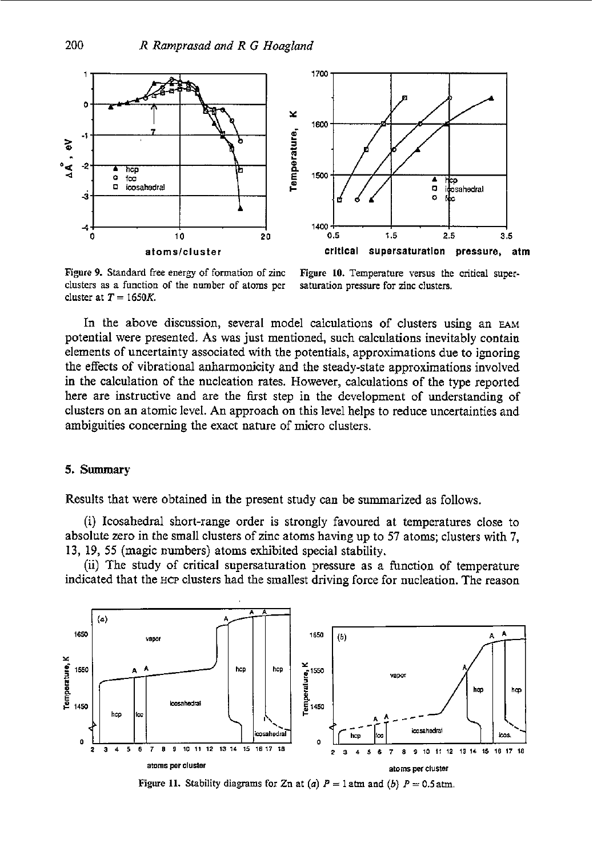



**Figure 9. Standard free** energy **of formation** of **zinc clusters as a function of the number** of **atoms per**  cluster at  $T = 1650K$ .

**Figure IO. Temperature versus the critical supersaturation pressure** for **zinc ciusters.** 

In the above discussion, several model calculations of clusters using an **EAM**  potential were presented. As was just mentioned, such calculations inevitably contain elements of uncertainty associated with the potentials, approximations due to ignoring the effects of vibrational anharmonicity and the steady-state approximations involved in the calculation of the nucleation rates. However, calculations of the type reported here are instructive and are the first step in the development of understanding of clusters on an atomic level. An approach on this level helps to reduce uncertainties and ambiguities concerning the exact nature of micro clusters.

## *5.* **Summary**

Results that were obtained in the present study can be summarized as follows.

(i) Icosahedral short-range order is strongly favoured at temperatures close to absolute **zero** in the small clusters of zinc atoms having up to **57** atoms; clusters with 7, **13,** 19, 55 (magic numbers) atoms exhibited special stability.

(ii) The study of critical supersaturation pressure as a function of temperature indicated that the **HCP** clusters had the smallest driving force for nucleation. The reason



**Figure 11.** Stability diagrams for Zn at (a)  $P = 1$  atm and (b)  $P = 0.5$  atm.